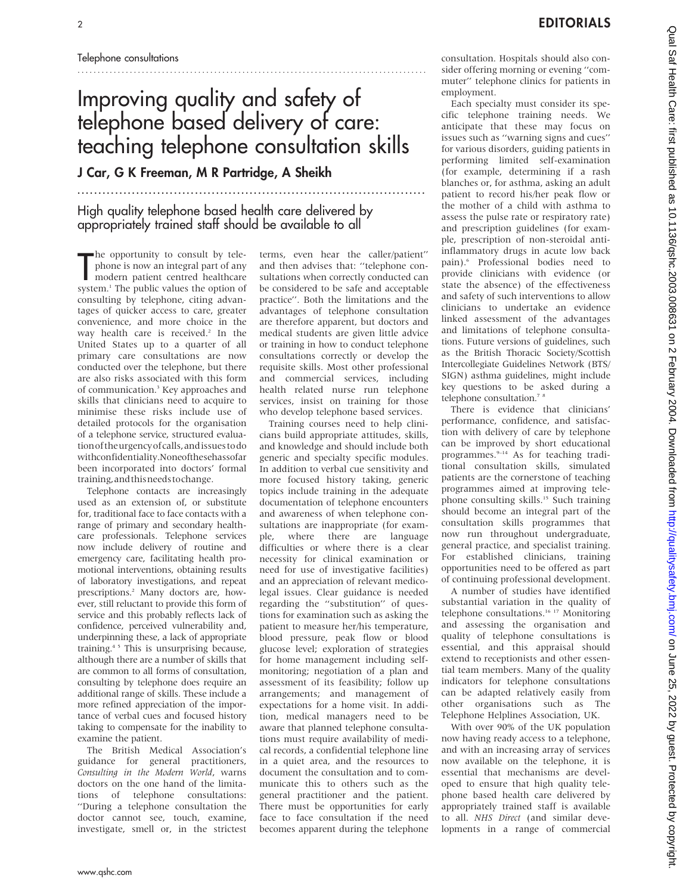#### Telephone consultations .......................................................................................

# Improving quality and safety of telephone based delivery of care: teaching telephone consultation skills

J Car, G K Freeman, M R Partridge, A Sheikh

...................................................................................

# High quality telephone based health care delivered by appropriately trained staff should be available to all

The opportunity to consult by tele-<br>phone is now an integral part of any<br>modern patient centred healthcare<br>system.<sup>1</sup> The public values the option of he opportunity to consult by telephone is now an integral part of any modern patient centred healthcare consulting by telephone, citing advantages of quicker access to care, greater convenience, and more choice in the way health care is received.<sup>2</sup> In the United States up to a quarter of all primary care consultations are now conducted over the telephone, but there are also risks associated with this form of communication.3 Key approaches and skills that clinicians need to acquire to minimise these risks include use of detailed protocols for the organisation of a telephone service, structured evaluationoftheurgencyofcalls,andissuestodo withconfidentiality.Noneofthesehassofar been incorporated into doctors' formal training,andthisneedstochange.

Telephone contacts are increasingly used as an extension of, or substitute for, traditional face to face contacts with a range of primary and secondary healthcare professionals. Telephone services now include delivery of routine and emergency care, facilitating health promotional interventions, obtaining results of laboratory investigations, and repeat prescriptions.2 Many doctors are, however, still reluctant to provide this form of service and this probably reflects lack of confidence, perceived vulnerability and, underpinning these, a lack of appropriate training.<sup>45</sup> This is unsurprising because, although there are a number of skills that are common to all forms of consultation, consulting by telephone does require an additional range of skills. These include a more refined appreciation of the importance of verbal cues and focused history taking to compensate for the inability to examine the patient.

The British Medical Association's guidance for general practitioners, Consulting in the Modern World, warns doctors on the one hand of the limitations of telephone consultations: ''During a telephone consultation the doctor cannot see, touch, examine, investigate, smell or, in the strictest terms, even hear the caller/patient'' and then advises that: ''telephone consultations when correctly conducted can be considered to be safe and acceptable practice''. Both the limitations and the advantages of telephone consultation are therefore apparent, but doctors and medical students are given little advice or training in how to conduct telephone consultations correctly or develop the requisite skills. Most other professional and commercial services, including health related nurse run telephone services, insist on training for those who develop telephone based services.

Training courses need to help clinicians build appropriate attitudes, skills, and knowledge and should include both generic and specialty specific modules. In addition to verbal cue sensitivity and more focused history taking, generic topics include training in the adequate documentation of telephone encounters and awareness of when telephone consultations are inappropriate (for example, where there are language difficulties or where there is a clear necessity for clinical examination or need for use of investigative facilities) and an appreciation of relevant medicolegal issues. Clear guidance is needed regarding the ''substitution'' of questions for examination such as asking the patient to measure her/his temperature, blood pressure, peak flow or blood glucose level; exploration of strategies for home management including selfmonitoring; negotiation of a plan and assessment of its feasibility; follow up arrangements; and management of expectations for a home visit. In addition, medical managers need to be aware that planned telephone consultations must require availability of medical records, a confidential telephone line in a quiet area, and the resources to document the consultation and to communicate this to others such as the general practitioner and the patient. There must be opportunities for early face to face consultation if the need becomes apparent during the telephone

consultation. Hospitals should also consider offering morning or evening ''com-

muter'' telephone clinics for patients in

employment. Each specialty must consider its specific telephone training needs. We anticipate that these may focus on issues such as ''warning signs and cues'' for various disorders, guiding patients in performing limited self-examination (for example, determining if a rash blanches or, for asthma, asking an adult patient to record his/her peak flow or the mother of a child with asthma to assess the pulse rate or respiratory rate) and prescription guidelines (for example, prescription of non-steroidal antiinflammatory drugs in acute low back pain).6 Professional bodies need to provide clinicians with evidence (or state the absence) of the effectiveness and safety of such interventions to allow clinicians to undertake an evidence linked assessment of the advantages and limitations of telephone consultations. Future versions of guidelines, such as the British Thoracic Society/Scottish Intercollegiate Guidelines Network (BTS/ SIGN) asthma guidelines, might include key questions to be asked during a telephone consultation.<sup>7</sup><sup>8</sup>

There is evidence that clinicians' performance, confidence, and satisfaction with delivery of care by telephone can be improved by short educational programmes.<sup>9-14</sup> As for teaching traditional consultation skills, simulated patients are the cornerstone of teaching programmes aimed at improving telephone consulting skills.15 Such training should become an integral part of the consultation skills programmes that now run throughout undergraduate, general practice, and specialist training. For established clinicians, training opportunities need to be offered as part of continuing professional development.

A number of studies have identified substantial variation in the quality of telephone consultations.16 17 Monitoring and assessing the organisation and quality of telephone consultations is essential, and this appraisal should extend to receptionists and other essential team members. Many of the quality indicators for telephone consultations can be adapted relatively easily from other organisations such as The Telephone Helplines Association, UK.

With over 90% of the UK population now having ready access to a telephone, and with an increasing array of services now available on the telephone, it is essential that mechanisms are developed to ensure that high quality telephone based health care delivered by appropriately trained staff is available to all. NHS Direct (and similar developments in a range of commercial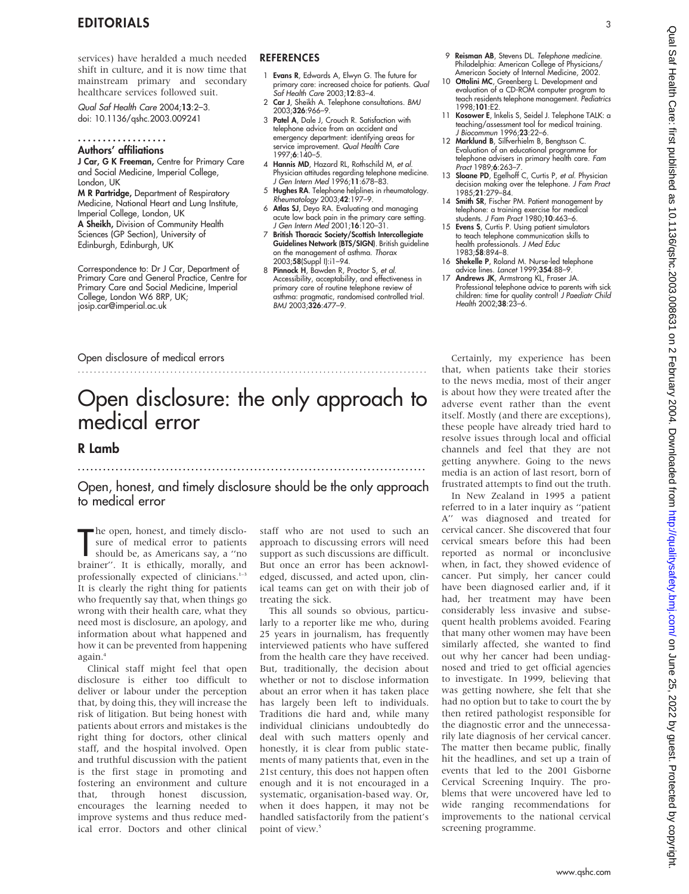services) have heralded a much needed shift in culture, and it is now time that mainstream primary and secondary healthcare services followed suit.

Qual Saf Health Care 2004;13:2–3. doi: 10.1136/qshc.2003.009241

#### Authors' affiliations ......................

J Car, G K Freeman, Centre for Primary Care and Social Medicine, Imperial College, London, UK

M R Partridge, Department of Respiratory Medicine, National Heart and Lung Institute, Imperial College, London, UK A Sheikh, Division of Community Health Sciences (GP Section), University of Edinburgh, Edinburgh, UK

Correspondence to: Dr J Car, Department of Primary Care and General Practice, Centre for Primary Care and Social Medicine, Imperial College, London W6 8RP, UK; josip.car@imperial.ac.uk

## **REFERENCES**

- 1 Evans R, Edwards A, Elwyn G. The future for primary care: increased choice for patients. Qual Saf Health Care 2003;12:83–4.
- 2 Car J, Sheikh A. Telephone consultations. BMJ 2003;326:966–9.
- 3 Patel A, Dale J, Crouch R. Satisfaction with telephone advice from an accident and emergency department: identitying areas tor<br>service improvement. Qual Health Care  $1997.6.140 - 5$
- 4 Hannis MD, Hazard RL, Rothschild M, et al. Physician attitudes regarding telephone medicine. J Gen Intern Med 1996;11:678–83.
- 5 Hughes RA. Telephone helplines in rheumatology. Rheumatology 2003;42:197–9.
- 6 Atlas SJ, Deyo RA. Evaluating and managing acute low back pain in the primary care setting. J Gen Intern Med 2001;16:120–31.
- 7 British Thoracic Society/Scottish Intercollegiate Guidelines Network (BTS/SIGN). British guideline on the management of asthma. Thorax 2003;58(Suppl I):i1–94.
- 8 Pinnock H, Bawden R, Proctor S, et al. Accessibility, acceptability, and effectiveness in primary care of routine telephone review of asthma: pragmatic, randomised controlled trial. BMJ 2003;326:477–9.
- 9 Reisman AB, Stevens DL. Telephone medicine. Philadelphia: American College of Physicians/ American Society of Internal Medicine, 2002.
- 10 Ottolini MC, Greenberg L. Development and evaluation of a CD-ROM computer program to teach residents telephone management. Pediatrics 1998;101:E2.
- 11 Kosower E, Inkelis S, Seidel J. Telephone TALK: a teaching/assessment tool for medical training. J Biocommun 1996;23:22–6.
- 12 Marklund B, Silfverhielm B, Bengtsson C. Evaluation of an educational programme for telephone advisers in primary health care. Fam Pract 1989; 6:263-7
- 13 Sloane PD, Egelhoff C, Curtis P, et al. Physician decision making over the telephone. J Fam Pract 1985;21:279–84.
- 14 Smith SR, Fischer PM. Patient management by telephone: a training exercise for medical students. J Fam Pract 1980;10:463–6.
- 15 Evens S, Curtis P. Using patient simulators to teach telephone communication skills to health professionals. J Med Educ 1983;58:894–8.
- 16 Shekelle P, Roland M. Nurse-led telephone advice lines. Lancet 1999;354:88–9.
- 17 Andrews JK, Armstrong KL, Fraser JA. Professional telephone advice to parents with sick<br>children: time for quality control! J Paediatr Chilc Health 2002;38:23–6.

Open disclosure of medical errors

# Open disclosure: the only approach to medical error

.......................................................................................

## R Lamb

Open, honest, and timely disclosure should be the only approach to medical error

...................................................................................

The open, honest, and timely disclo-<br>sure of medical error to patients<br>should be, as Americans say, a "no<br>brainer". It is ethically, morally, and he open, honest, and timely disclosure of medical error to patients should be, as Americans say, a ''no professionally expected of clinicians.<sup>1-3</sup> It is clearly the right thing for patients who frequently say that, when things go wrong with their health care, what they need most is disclosure, an apology, and information about what happened and how it can be prevented from happening again.4

Clinical staff might feel that open disclosure is either too difficult to deliver or labour under the perception that, by doing this, they will increase the risk of litigation. But being honest with patients about errors and mistakes is the right thing for doctors, other clinical staff, and the hospital involved. Open and truthful discussion with the patient is the first stage in promoting and fostering an environment and culture that, through honest discussion, encourages the learning needed to improve systems and thus reduce medical error. Doctors and other clinical staff who are not used to such an approach to discussing errors will need support as such discussions are difficult. But once an error has been acknowledged, discussed, and acted upon, clinical teams can get on with their job of treating the sick.

This all sounds so obvious, particularly to a reporter like me who, during 25 years in journalism, has frequently interviewed patients who have suffered from the health care they have received. But, traditionally, the decision about whether or not to disclose information about an error when it has taken place has largely been left to individuals. Traditions die hard and, while many individual clinicians undoubtedly do deal with such matters openly and honestly, it is clear from public statements of many patients that, even in the 21st century, this does not happen often enough and it is not encouraged in a systematic, organisation-based way. Or, when it does happen, it may not be handled satisfactorily from the patient's point of view.<sup>5</sup>

Certainly, my experience has been that, when patients take their stories to the news media, most of their anger is about how they were treated after the adverse event rather than the event itself. Mostly (and there are exceptions), these people have already tried hard to resolve issues through local and official channels and feel that they are not getting anywhere. Going to the news media is an action of last resort, born of frustrated attempts to find out the truth.

In New Zealand in 1995 a patient referred to in a later inquiry as ''patient A'' was diagnosed and treated for cervical cancer. She discovered that four cervical smears before this had been reported as normal or inconclusive when, in fact, they showed evidence of cancer. Put simply, her cancer could have been diagnosed earlier and, if it had, her treatment may have been considerably less invasive and subsequent health problems avoided. Fearing that many other women may have been similarly affected, she wanted to find out why her cancer had been undiagnosed and tried to get official agencies to investigate. In 1999, believing that was getting nowhere, she felt that she had no option but to take to court the by then retired pathologist responsible for the diagnostic error and the unnecessarily late diagnosis of her cervical cancer. The matter then became public, finally hit the headlines, and set up a train of events that led to the 2001 Gisborne Cervical Screening Inquiry. The problems that were uncovered have led to wide ranging recommendations for improvements to the national cervical screening programme.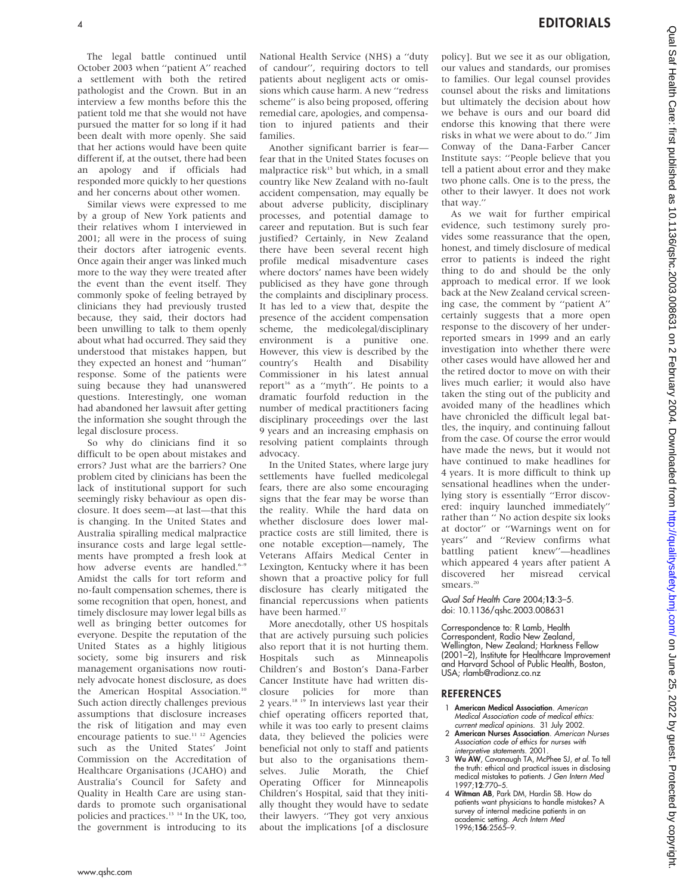The legal battle continued until October 2003 when ''patient A'' reached a settlement with both the retired pathologist and the Crown. But in an interview a few months before this the patient told me that she would not have pursued the matter for so long if it had been dealt with more openly. She said that her actions would have been quite different if, at the outset, there had been an apology and if officials had responded more quickly to her questions and her concerns about other women.

Similar views were expressed to me by a group of New York patients and their relatives whom I interviewed in 2001; all were in the process of suing their doctors after iatrogenic events. Once again their anger was linked much more to the way they were treated after the event than the event itself. They commonly spoke of feeling betrayed by clinicians they had previously trusted because, they said, their doctors had been unwilling to talk to them openly about what had occurred. They said they understood that mistakes happen, but they expected an honest and ''human'' response. Some of the patients were suing because they had unanswered questions. Interestingly, one woman had abandoned her lawsuit after getting the information she sought through the legal disclosure process.

So why do clinicians find it so difficult to be open about mistakes and errors? Just what are the barriers? One problem cited by clinicians has been the lack of institutional support for such seemingly risky behaviour as open disclosure. It does seem—at last—that this is changing. In the United States and Australia spiralling medical malpractice insurance costs and large legal settlements have prompted a fresh look at how adverse events are handled.<sup>6-9</sup> Amidst the calls for tort reform and no-fault compensation schemes, there is some recognition that open, honest, and timely disclosure may lower legal bills as well as bringing better outcomes for everyone. Despite the reputation of the United States as a highly litigious society, some big insurers and risk management organisations now routinely advocate honest disclosure, as does the American Hospital Association.<sup>10</sup> Such action directly challenges previous assumptions that disclosure increases the risk of litigation and may even encourage patients to sue.11 12 Agencies such as the United States' Joint Commission on the Accreditation of Healthcare Organisations (JCAHO) and Australia's Council for Safety and Quality in Health Care are using standards to promote such organisational policies and practices.13 14 In the UK, too, the government is introducing to its National Health Service (NHS) a ''duty of candour'', requiring doctors to tell patients about negligent acts or omissions which cause harm. A new ''redress scheme'' is also being proposed, offering remedial care, apologies, and compensation to injured patients and their families.

Another significant barrier is fear fear that in the United States focuses on malpractice risk<sup>15</sup> but which, in a small country like New Zealand with no-fault accident compensation, may equally be about adverse publicity, disciplinary processes, and potential damage to career and reputation. But is such fear justified? Certainly, in New Zealand there have been several recent high profile medical misadventure cases where doctors' names have been widely publicised as they have gone through the complaints and disciplinary process. It has led to a view that, despite the presence of the accident compensation scheme, the medicolegal/disciplinary environment is a punitive one. However, this view is described by the country's Health and Disability Commissioner in his latest annual report<sup>16</sup> as a "myth". He points to a dramatic fourfold reduction in the number of medical practitioners facing disciplinary proceedings over the last 9 years and an increasing emphasis on resolving patient complaints through advocacy.

In the United States, where large jury settlements have fuelled medicolegal fears, there are also some encouraging signs that the fear may be worse than the reality. While the hard data on whether disclosure does lower malpractice costs are still limited, there is one notable exception—namely, The Veterans Affairs Medical Center in Lexington, Kentucky where it has been shown that a proactive policy for full disclosure has clearly mitigated the financial repercussions when patients have been harmed.<sup>17</sup>

More anecdotally, other US hospitals that are actively pursuing such policies also report that it is not hurting them. Hospitals such as Minneapolis Children's and Boston's Dana-Farber Cancer Institute have had written disclosure policies for more than 2 years.<sup>18</sup> <sup>19</sup> In interviews last year their chief operating officers reported that, while it was too early to present claims data, they believed the policies were beneficial not only to staff and patients but also to the organisations themselves. Julie Morath, the Chief Operating Officer for Minneapolis Children's Hospital, said that they initially thought they would have to sedate their lawyers. ''They got very anxious about the implications [of a disclosure

policy]. But we see it as our obligation, our values and standards, our promises to families. Our legal counsel provides counsel about the risks and limitations but ultimately the decision about how we behave is ours and our board did endorse this knowing that there were risks in what we were about to do.'' Jim Conway of the Dana-Farber Cancer Institute says: ''People believe that you tell a patient about error and they make two phone calls. One is to the press, the other to their lawyer. It does not work that way.''

As we wait for further empirical evidence, such testimony surely provides some reassurance that the open, honest, and timely disclosure of medical error to patients is indeed the right thing to do and should be the only approach to medical error. If we look back at the New Zealand cervical screening case, the comment by ''patient A'' certainly suggests that a more open response to the discovery of her underreported smears in 1999 and an early investigation into whether there were other cases would have allowed her and the retired doctor to move on with their lives much earlier; it would also have taken the sting out of the publicity and avoided many of the headlines which have chronicled the difficult legal battles, the inquiry, and continuing fallout from the case. Of course the error would have made the news, but it would not have continued to make headlines for 4 years. It is more difficult to think up sensational headlines when the underlying story is essentially ''Error discovered: inquiry launched immediately'' rather than '' No action despite six looks at doctor'' or ''Warnings went on for years'' and ''Review confirms what battling patient knew''—headlines which appeared 4 years after patient A discovered her misread cervical smears<sup>20</sup>

Qual Saf Health Care: first published as 10.11136/qshc.2003.008631 on 2 February 2004. Downloaded from http://qualitysafety.bmj.com/ on June 25, 2022 by guest. Protected by copyright Qual Sat Health Care: first published as 10.1136/qshc.2003.008831 on 2 February 2004. Downloaded from Downloaded from On June 25, 2022 by guest. Protected by copyright.

Qual Saf Health Care 2004;13:3–5. doi: 10.1136/qshc.2003.008631

Correspondence to: R Lamb, Health Correspondent, Radio New Zealand, Wellington, New Zealand; Harkness Fellow (2001–2), Institute for Healthcare Improvement and Harvard School of Public Health, Boston, USA; rlamb@radionz.co.nz

## **REFERENCES**

- 1 American Medical Association. American Medical Association code of medical ethics:
- current medical opinions. 31 July 2002. 2 American Nurses Association. American Nurses Association code of ethics for nurses with interpretive statements. 2001.
- 3 Wu AW, Cavanaugh TA, McPhee SJ, et al. To tell the truth: ethical and practical issues in disclosing medical mistakes to patients. J Gen Intern Med 1997;12:770–5.
- 4 Witman AB, Park DM, Hardin SB. How do patients want physicians to handle mistakes? A survey of internal medicine patients in an academic setting. Arch Intern Mec<br>1996;**156**:2565–9.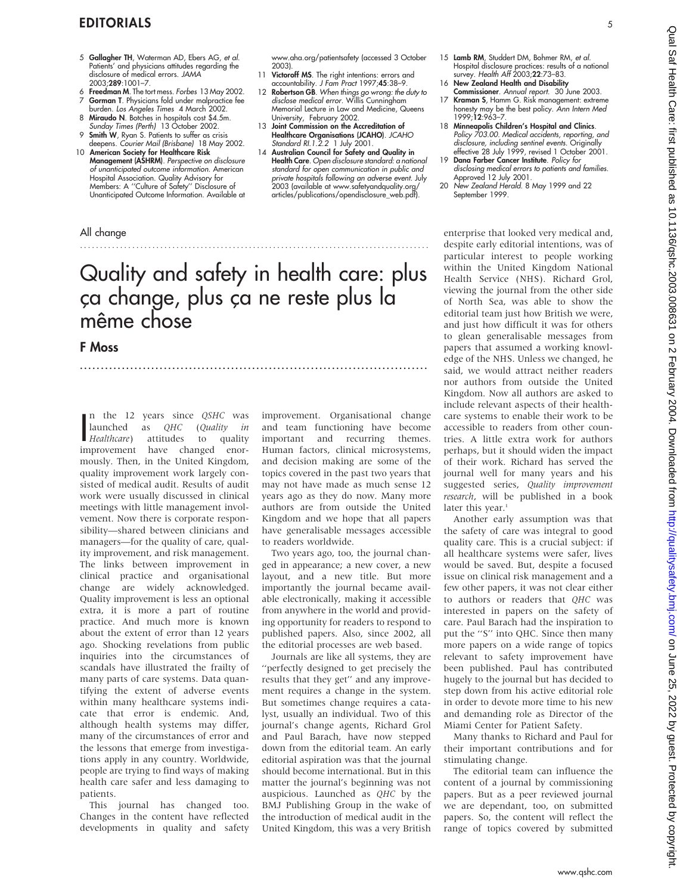- 5 Gallagher TH, Waterman AD, Ebers AG, et al. Patients' and physicians attitudes regarding the disclosure of medical errors. JAMA 2003;289:1001–7.
- Freedman M. The tort mess. Forbes 13 May 2002. Gorman T. Physicians fold under malpractice fee
- burden. Los Angeles Times 4 March 2002. 8 Miraudo N. Botches in hospitals cost \$4.5m.
- Sunday Times (Perth) 13 October 2002.
- **Smith W.** Ryan S. Patients to suffer as crisis deepens. Courier Mail (Brisbane) 18 May 2002.
- American Society for Healthcare Risk Management (ASHRM). Perspective on disclosure of unanticipated outcome information. American Hospital Association. Quality Advisory for Members: A ''Culture of Safety'' Disclosure of Unanticipated Outcome Information. Available at

## All change

# Quality and safety in health care: plus ça change, plus ça ne reste plus la même chose

...................................................................................

.......................................................................................

F Moss

In the 12 years since  $QML$  was<br>launched as  $QHC$  ( $Quality$  in<br>Healthcare) attitudes to quality n the 12 years since *QSHC* was<br>launched as *QHC* (*Quality in* launched as QHC (Quality in improvement have changed enormously. Then, in the United Kingdom, quality improvement work largely consisted of medical audit. Results of audit work were usually discussed in clinical meetings with little management involvement. Now there is corporate responsibility—shared between clinicians and managers—for the quality of care, quality improvement, and risk management. The links between improvement in clinical practice and organisational change are widely acknowledged. Quality improvement is less an optional extra, it is more a part of routine practice. And much more is known about the extent of error than 12 years ago. Shocking revelations from public inquiries into the circumstances of scandals have illustrated the frailty of many parts of care systems. Data quantifying the extent of adverse events within many healthcare systems indicate that error is endemic. And, although health systems may differ, many of the circumstances of error and the lessons that emerge from investigations apply in any country. Worldwide, people are trying to find ways of making health care safer and less damaging to patients.

This journal has changed too. Changes in the content have reflected developments in quality and safety

improvement. Organisational change and team functioning have become important and recurring themes. Human factors, clinical microsystems, and decision making are some of the topics covered in the past two years that may not have made as much sense 12 years ago as they do now. Many more authors are from outside the United Kingdom and we hope that all papers have generalisable messages accessible to readers worldwide.

www.aha.org/patientsafety (accessed 3 October

11 Victoroff MS. The right intentions: errors and accountability. J Fam Pract 1997;45:38–9. 12 Robertson GB. When things go wrong: the duty to disclose medical error. Willis Cunningham Memorial Lecture in Law and Medicine, Queens

University, February 2002. 13 Joint Commission on the Accreditation of Healthcare Organisations (JCAHO). JCAHO Standard RI.1.2.2 1 July 2001. 14 Australian Council for Safety and Quality in Health Care. Open disclosure standard: a national standard for open communication in public and private hospitals following an adverse event. July 2003 (available at www.safetyandquality.org/ articles/publications/opendisclosure\_web.pdf).

2003).

Two years ago, too, the journal changed in appearance; a new cover, a new layout, and a new title. But more importantly the journal became available electronically, making it accessible from anywhere in the world and providing opportunity for readers to respond to published papers. Also, since 2002, all the editorial processes are web based.

Journals are like all systems, they are ''perfectly designed to get precisely the results that they get'' and any improvement requires a change in the system. But sometimes change requires a catalyst, usually an individual. Two of this journal's change agents, Richard Grol and Paul Barach, have now stepped down from the editorial team. An early editorial aspiration was that the journal should become international. But in this matter the journal's beginning was not auspicious. Launched as QHC by the BMJ Publishing Group in the wake of the introduction of medical audit in the United Kingdom, this was a very British

- 15 Lamb RM, Studdert DM, Bohmer RM, et al. Hospital disclosure practices: results of a national survey. Health Aff 2003;22:73–83.
- 16 New Zealand Health and Disability
- Commissioner. Annual report. 30 June 2003. 17 Kraman S, Hamm G. Risk management: extrem honesty may be the best policy. Ann Intern Med<br>1999-**12**:963–7
- 1999;12:963–7. 18 Minneapolis Children's Hospital and Clinics. Policy 703.00. Medical accidents, reporting, and disclosure, including sentinel events. Originally effective 28 July 1999, revised 1 October 2001.
- Dana Farber Cancer Institute. Policy for disclosing medical errors to patients and families. Approved 12 July 2001.
- 20 New Zealand Herald. 8 May 1999 and 22 September 1999.

enterprise that looked very medical and, despite early editorial intentions, was of particular interest to people working within the United Kingdom National Health Service (NHS). Richard Grol, viewing the journal from the other side of North Sea, was able to show the editorial team just how British we were, and just how difficult it was for others to glean generalisable messages from papers that assumed a working knowledge of the NHS. Unless we changed, he said, we would attract neither readers nor authors from outside the United Kingdom. Now all authors are asked to include relevant aspects of their healthcare systems to enable their work to be accessible to readers from other countries. A little extra work for authors perhaps, but it should widen the impact of their work. Richard has served the journal well for many years and his suggested series, Quality improvement research, will be published in a book later this year. $1$ 

Another early assumption was that the safety of care was integral to good quality care. This is a crucial subject: if all healthcare systems were safer, lives would be saved. But, despite a focused issue on clinical risk management and a few other papers, it was not clear either to authors or readers that QHC was interested in papers on the safety of care. Paul Barach had the inspiration to put the ''S'' into QHC. Since then many more papers on a wide range of topics relevant to safety improvement have been published. Paul has contributed hugely to the journal but has decided to step down from his active editorial role in order to devote more time to his new and demanding role as Director of the Miami Center for Patient Safety.

Many thanks to Richard and Paul for their important contributions and for stimulating change.

The editorial team can influence the content of a journal by commissioning papers. But as a peer reviewed journal we are dependant, too, on submitted papers. So, the content will reflect the range of topics covered by submitted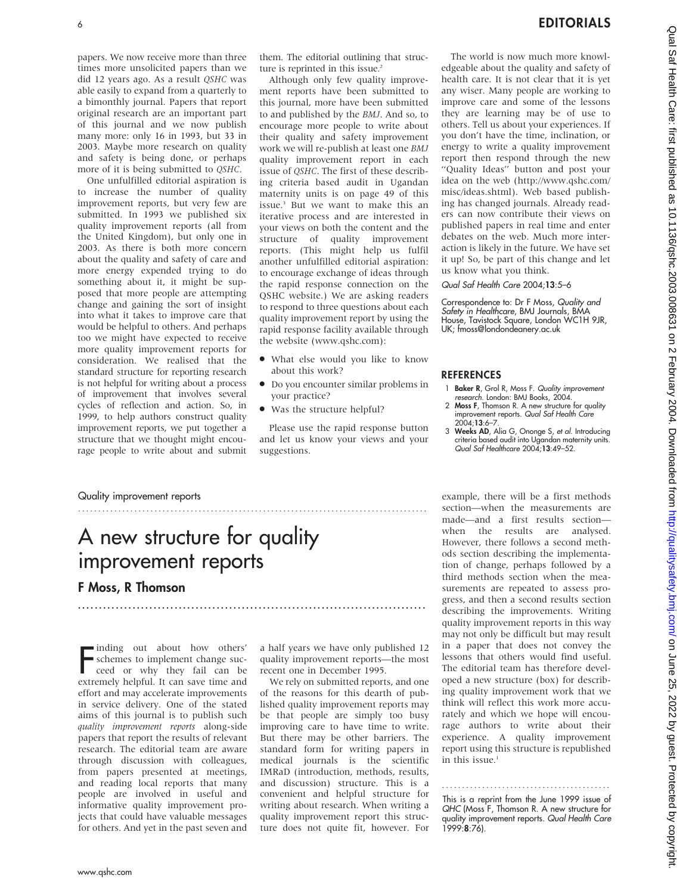papers. We now receive more than three times more unsolicited papers than we did 12 years ago. As a result QSHC was able easily to expand from a quarterly to a bimonthly journal. Papers that report original research are an important part of this journal and we now publish many more: only 16 in 1993, but 33 in 2003. Maybe more research on quality and safety is being done, or perhaps more of it is being submitted to QSHC.

One unfulfilled editorial aspiration is to increase the number of quality improvement reports, but very few are submitted. In 1993 we published six quality improvement reports (all from the United Kingdom), but only one in 2003. As there is both more concern about the quality and safety of care and more energy expended trying to do something about it, it might be supposed that more people are attempting change and gaining the sort of insight into what it takes to improve care that would be helpful to others. And perhaps too we might have expected to receive more quality improvement reports for consideration. We realised that the standard structure for reporting research is not helpful for writing about a process of improvement that involves several cycles of reflection and action. So, in 1999, to help authors construct quality improvement reports, we put together a structure that we thought might encourage people to write about and submit them. The editorial outlining that structure is reprinted in this issue.<sup>2</sup>

Although only few quality improvement reports have been submitted to this journal, more have been submitted to and published by the BMJ. And so, to encourage more people to write about their quality and safety improvement work we will re-publish at least one BMJ quality improvement report in each issue of QSHC. The first of these describing criteria based audit in Ugandan maternity units is on page 49 of this issue.3 But we want to make this an iterative process and are interested in your views on both the content and the structure of quality improvement reports. (This might help us fulfil another unfulfilled editorial aspiration: to encourage exchange of ideas through the rapid response connection on the QSHC website.) We are asking readers to respond to three questions about each quality improvement report by using the rapid response facility available through the website (www.qshc.com):

- What else would you like to know about this work?
- Do you encounter similar problems in your practice?
- Was the structure helpful?

.......................................................................................

Please use the rapid response button and let us know your views and your suggestions.

### Quality improvement reports

# A new structure for quality improvement reports

...................................................................................

## F Moss, R Thomson

Finally out about now others<br>schemes to implement change suc-<br>ceed or why they fail can be<br>extremely helpful. It can save time and inding out about how others' schemes to implement change succeed or why they fail can be effort and may accelerate improvements in service delivery. One of the stated aims of this journal is to publish such quality improvement reports along-side papers that report the results of relevant research. The editorial team are aware through discussion with colleagues, from papers presented at meetings, and reading local reports that many people are involved in useful and informative quality improvement projects that could have valuable messages for others. And yet in the past seven and

a half years we have only published 12 quality improvement reports—the most recent one in December 1995.

We rely on submitted reports, and one of the reasons for this dearth of published quality improvement reports may be that people are simply too busy improving care to have time to write. But there may be other barriers. The standard form for writing papers in medical journals is the scientific IMRaD (introduction, methods, results, and discussion) structure. This is a convenient and helpful structure for writing about research. When writing a quality improvement report this structure does not quite fit, however. For

The world is now much more knowledgeable about the quality and safety of health care. It is not clear that it is yet any wiser. Many people are working to improve care and some of the lessons they are learning may be of use to others. Tell us about your experiences. If you don't have the time, inclination, or energy to write a quality improvement report then respond through the new ''Quality Ideas'' button and post your idea on the web (http://www.qshc.com/ misc/ideas.shtml). Web based publishing has changed journals. Already readers can now contribute their views on published papers in real time and enter debates on the web. Much more interaction is likely in the future. We have set it up! So, be part of this change and let us know what you think.

#### Qual Saf Health Care 2004;13:5–6

Correspondence to: Dr F Moss, Quality and Safety in Healthcare, BMJ Journals, BMA House, Tavistock Square, London WC1H 9JR, UK; fmoss@londondeanery.ac.uk

### **REFERENCES**

- 1 Baker R, Grol R, Moss F. Quality improvement research. London: BMJ Books, 2004.
- 2 Moss F, Thomson R. A new structure for quality improvement reports. Qual Saf Health Care 2004;13:6–7.
- 3 Weeks AD, Alia G, Ononge S, et al. Introducing criteria based audit into Ugandan maternity units. Qual Saf Healthcare 2004;13:49–52.

example, there will be a first methods section—when the measurements are made—and a first results section when the results are analysed. However, there follows a second methods section describing the implementation of change, perhaps followed by a third methods section when the measurements are repeated to assess progress, and then a second results section describing the improvements. Writing quality improvement reports in this way may not only be difficult but may result in a paper that does not convey the lessons that others would find useful. The editorial team has therefore developed a new structure (box) for describing quality improvement work that we think will reflect this work more accurately and which we hope will encourage authors to write about their experience. A quality improvement report using this structure is republished in this issue.<sup>1</sup>

This is a reprint from the June 1999 issue of QHC (Moss F, Thomson R. A new structure for quality improvement reports. Qual Health Care 1999:8:76).

..........................................